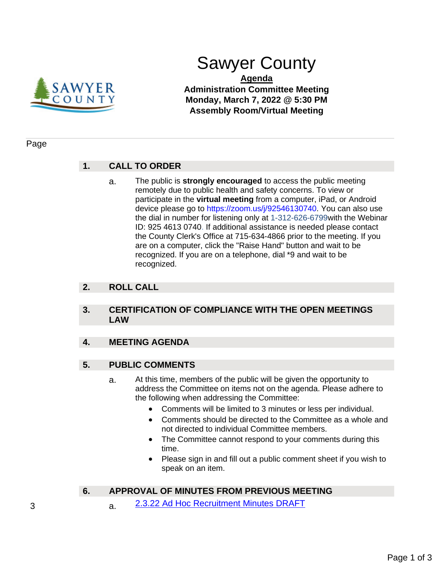

# Sawyer County

**Agenda Administration Committee Meeting Monday, March 7, 2022 @ 5:30 PM Assembly Room/Virtual Meeting**

#### Page

## **1. CALL TO ORDER**

a. The public is **strongly encouraged** to access the public meeting remotely due to public health and safety concerns. To view or participate in the **virtual meeting** from a computer, iPad, or Android device please go to https://zoom.us/j/92546130740. You can also use the dial in number for listening only at 1-312-626-6799with the Webinar ID: 925 4613 0740. If additional assistance is needed please contact the County Clerk's Office at 715-634-4866 prior to the meeting. If you are on a computer, click the "Raise Hand" button and wait to be recognized. If you are on a telephone, dial \*9 and wait to be recognized.

## **2. ROLL CALL**

#### **3. CERTIFICATION OF COMPLIANCE WITH THE OPEN MEETINGS LAW**

#### **4. MEETING AGENDA**

#### **5. PUBLIC COMMENTS**

- a. At this time, members of the public will be given the opportunity to address the Committee on items not on the agenda. Please adhere to the following when addressing the Committee:
	- Comments will be limited to 3 minutes or less per individual.
	- Comments should be directed to the Committee as a whole and not directed to individual Committee members.
	- The Committee cannot respond to your comments during this time.
	- Please sign in and fill out a public comment sheet if you wish to speak on an item.

## **6. APPROVAL OF MINUTES FROM PREVIOUS MEETING**

3 a. [2.3.22 Ad Hoc Recruitment Minutes DRAFT](#page-2-0)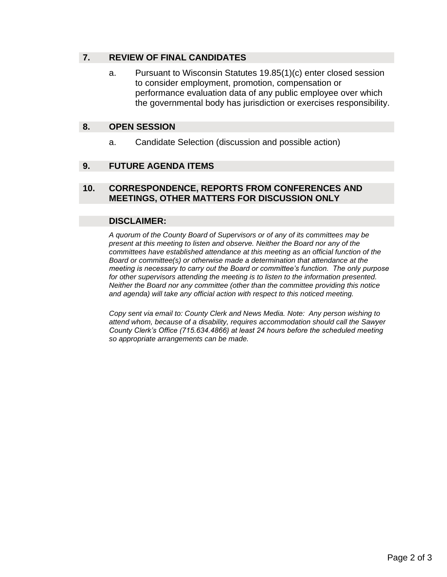## **7. REVIEW OF FINAL CANDIDATES**

a. Pursuant to Wisconsin Statutes 19.85(1)(c) enter closed session to consider employment, promotion, compensation or performance evaluation data of any public employee over which the governmental body has jurisdiction or exercises responsibility.

#### **8. OPEN SESSION**

a. Candidate Selection (discussion and possible action)

## **9. FUTURE AGENDA ITEMS**

## **10. CORRESPONDENCE, REPORTS FROM CONFERENCES AND MEETINGS, OTHER MATTERS FOR DISCUSSION ONLY**

#### **DISCLAIMER:**

*A quorum of the County Board of Supervisors or of any of its committees may be present at this meeting to listen and observe. Neither the Board nor any of the committees have established attendance at this meeting as an official function of the Board or committee(s) or otherwise made a determination that attendance at the meeting is necessary to carry out the Board or committee's function. The only purpose for other supervisors attending the meeting is to listen to the information presented. Neither the Board nor any committee (other than the committee providing this notice and agenda) will take any official action with respect to this noticed meeting.* 

*Copy sent via email to: County Clerk and News Media. Note: Any person wishing to attend whom, because of a disability, requires accommodation should call the Sawyer County Clerk's Office (715.634.4866) at least 24 hours before the scheduled meeting so appropriate arrangements can be made.*